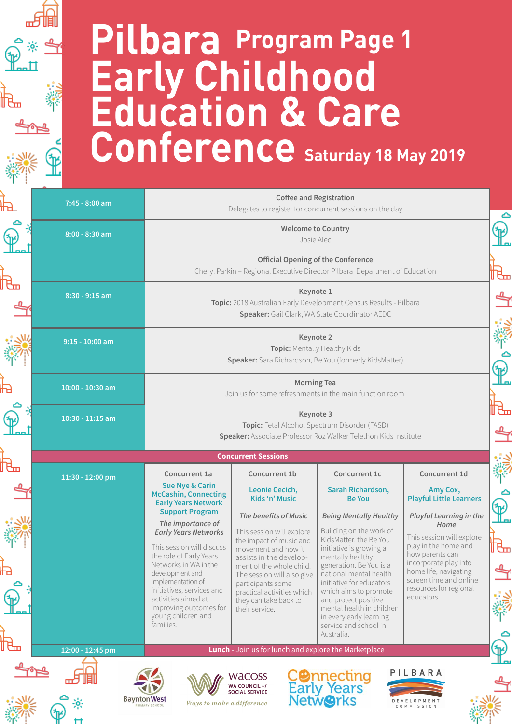## **Pilbara Early Childhood Education & Care**  Conference Saturday 18 May 2019 **Program Page 1**

 $\bigoplus_{\alpha=1}^{\infty}$ 

℔

'n,

|   | 7:45 - 8:00 am                                                                                                        | <b>Coffee and Registration</b><br>Delegates to register for concurrent sessions on the day                                                            |                                                                                                                                                      |                                                                                                                                                                                                                               |                                                                                                            |  |  |  |
|---|-----------------------------------------------------------------------------------------------------------------------|-------------------------------------------------------------------------------------------------------------------------------------------------------|------------------------------------------------------------------------------------------------------------------------------------------------------|-------------------------------------------------------------------------------------------------------------------------------------------------------------------------------------------------------------------------------|------------------------------------------------------------------------------------------------------------|--|--|--|
|   | 8:00 - 8:30 am                                                                                                        | <b>Welcome to Country</b><br>Josie Alec                                                                                                               |                                                                                                                                                      |                                                                                                                                                                                                                               |                                                                                                            |  |  |  |
|   |                                                                                                                       | <b>Official Opening of the Conference</b><br>Cheryl Parkin - Regional Executive Director Pilbara Department of Education<br>ᡛᠴ                        |                                                                                                                                                      |                                                                                                                                                                                                                               |                                                                                                            |  |  |  |
|   | 8:30 - 9:15 am                                                                                                        | Keynote 1<br>Topic: 2018 Australian Early Development Census Results - Pilbara<br>Speaker: Gail Clark, WA State Coordinator AEDC                      |                                                                                                                                                      |                                                                                                                                                                                                                               |                                                                                                            |  |  |  |
|   | $9:15 - 10:00$ am                                                                                                     | Keynote 2<br>Topic: Mentally Healthy Kids<br>Speaker: Sara Richardson, Be You (formerly KidsMatter)                                                   |                                                                                                                                                      |                                                                                                                                                                                                                               |                                                                                                            |  |  |  |
|   | 10:00 - 10:30 am                                                                                                      | <b>Morning Tea</b><br>Join us for some refreshments in the main function room.                                                                        |                                                                                                                                                      |                                                                                                                                                                                                                               |                                                                                                            |  |  |  |
|   | 10:30 - 11:15 am                                                                                                      | ᡛᡆ<br>Keynote 3<br>Topic: Fetal Alcohol Spectrum Disorder (FASD)<br>Speaker: Associate Professor Roz Walker Telethon Kids Institute                   |                                                                                                                                                      |                                                                                                                                                                                                                               |                                                                                                            |  |  |  |
|   |                                                                                                                       | <b>Concurrent Sessions</b>                                                                                                                            |                                                                                                                                                      |                                                                                                                                                                                                                               |                                                                                                            |  |  |  |
| ъ | 11:30 - 12:00 pm                                                                                                      | Concurrent 1a                                                                                                                                         | Concurrent 1b                                                                                                                                        | Concurrent 1c                                                                                                                                                                                                                 | Concurrent 1d                                                                                              |  |  |  |
|   |                                                                                                                       | <b>Sue Nye &amp; Carin</b><br><b>McCashin, Connecting</b><br><b>Early Years Network</b><br><b>Support Program</b>                                     | Leonie Cecich,<br>Kids 'n' Music<br>The benefits of Music                                                                                            | Sarah Richardson,<br><b>Be You</b><br><b>Being Mentally Healthy</b>                                                                                                                                                           | Amy Cox,<br><b>Playful Little Learners</b><br><b>Playful Learning in the</b>                               |  |  |  |
|   |                                                                                                                       | The importance of<br><b>Early Years Networks</b><br>This session will discuss<br>the role of Early Years<br>Networks in WA in the                     | This session will explore<br>the impact of music and<br>movement and how it<br>assists in the develop-                                               | Building on the work of<br>KidsMatter, the Be You<br>initiative is growing a<br>mentally healthy                                                                                                                              | Home<br>This session will explore<br>play in the home and<br>₩<br>how parents can<br>incorporate play into |  |  |  |
|   |                                                                                                                       | development and<br>implementation of<br>initiatives, services and<br>activities aimed at<br>improving outcomes for<br>young children and<br>families. | ment of the whole child.<br>The session will also give<br>participants some<br>practical activities which<br>they can take back to<br>their service. | generation. Be You is a<br>national mental health<br>initiative for educators<br>which aims to promote<br>and protect positive<br>mental health in children<br>in every early learning<br>service and school in<br>Australia. | home life, navigating<br>screen time and online<br>resources for regional<br>educators.                    |  |  |  |
| ℡ | 12:00 - 12:45 pm                                                                                                      |                                                                                                                                                       | Lunch - Join us for lunch and explore the Marketplace                                                                                                |                                                                                                                                                                                                                               |                                                                                                            |  |  |  |
|   | PILBARA<br><b>CO</b> nnecting<br>Early Years<br>Netw <b>O</b> rks<br><b>WACOSS</b><br>WA COUNCIL of<br>SOCIAL SERVICE |                                                                                                                                                       |                                                                                                                                                      |                                                                                                                                                                                                                               |                                                                                                            |  |  |  |
|   |                                                                                                                       | <b>Baynton West</b><br>Ways to make a difference<br><b>RIMARY SCHOOL</b>                                                                              |                                                                                                                                                      |                                                                                                                                                                                                                               | MISSION                                                                                                    |  |  |  |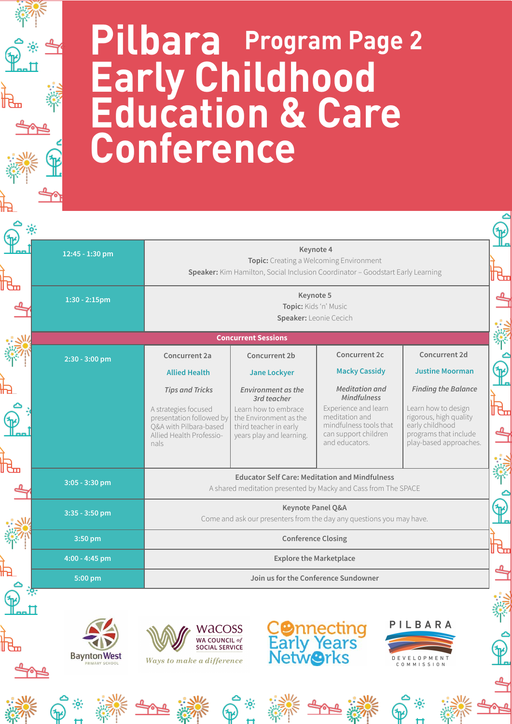## **Pilbara Early Childhood Education & Care Conference Program Page 2**

 $\bigoplus_{i=1}^{\infty} \frac{1}{i} \sum_{i=1}^{\infty}$ 

ષ્ট

舮

| 12:45 - 1:30 pm                       |                                                                                                                                          | Keynote 4<br>Topic: Creating a Welcoming Environment<br>Speaker: Kim Hamilton, Social Inclusion Coordinator - Goodstart Early Learning           |                                                                                                                                                           |                                                                                                                                                   |  |  |  |
|---------------------------------------|------------------------------------------------------------------------------------------------------------------------------------------|--------------------------------------------------------------------------------------------------------------------------------------------------|-----------------------------------------------------------------------------------------------------------------------------------------------------------|---------------------------------------------------------------------------------------------------------------------------------------------------|--|--|--|
| $1:30 - 2:15$ pm                      |                                                                                                                                          | Keynote 5<br>Topic: Kids 'n' Music<br>Speaker: Leonie Cecich                                                                                     |                                                                                                                                                           |                                                                                                                                                   |  |  |  |
|                                       |                                                                                                                                          | <b>Concurrent Sessions</b>                                                                                                                       |                                                                                                                                                           |                                                                                                                                                   |  |  |  |
| 2:30 - 3:00 pm                        | Concurrent 2a<br><b>Allied Health</b>                                                                                                    | Concurrent 2b<br><b>Jane Lockyer</b>                                                                                                             | Concurrent 2c<br><b>Macky Cassidy</b>                                                                                                                     | Concurrent 2d<br><b>Justine Moorman</b>                                                                                                           |  |  |  |
|                                       | <b>Tips and Tricks</b><br>A strategies focused<br>presentation followed by<br>Q&A with Pilbara-based<br>Allied Health Professio-<br>nals | <b>Environment as the</b><br>3rd teacher<br>Learn how to embrace<br>the Environment as the<br>third teacher in early<br>years play and learning. | <b>Meditation</b> and<br><b>Mindfulness</b><br>Experience and learn<br>meditation and<br>mindfulness tools that<br>can support children<br>and educators. | <b>Finding the Balance</b><br>Learn how to design<br>rigorous, high quality<br>early childhood<br>programs that include<br>play-based approaches. |  |  |  |
| $3:05 - 3:30$ pm                      |                                                                                                                                          | <b>Educator Self Care: Meditation and Mindfulness</b><br>A shared meditation presented by Macky and Cass from The SPACE                          |                                                                                                                                                           |                                                                                                                                                   |  |  |  |
| 3:35 - 3:50 pm                        |                                                                                                                                          | Keynote Panel Q&A<br>Come and ask our presenters from the day any questions you may have.                                                        |                                                                                                                                                           |                                                                                                                                                   |  |  |  |
| 3:50 pm                               |                                                                                                                                          | <b>Conference Closing</b>                                                                                                                        |                                                                                                                                                           |                                                                                                                                                   |  |  |  |
| 4:00 - 4:45 pm                        |                                                                                                                                          | <b>Explore the Marketplace</b>                                                                                                                   |                                                                                                                                                           |                                                                                                                                                   |  |  |  |
| 5:00 pm                               |                                                                                                                                          | Join us for the Conference Sundowner                                                                                                             |                                                                                                                                                           |                                                                                                                                                   |  |  |  |
| <b>Baynton West</b><br>PRIMARY SCHOOL | <b>WACOSS</b><br>WA COUNCIL of<br>SOCIAL SERVICE<br>Ways to make a difference                                                            |                                                                                                                                                  | <b>COnnecting<br/>Early Years<br/>NetwOrks</b>                                                                                                            | PILBARA<br>O P M E N T<br>EVEL<br>COMMISSION                                                                                                      |  |  |  |